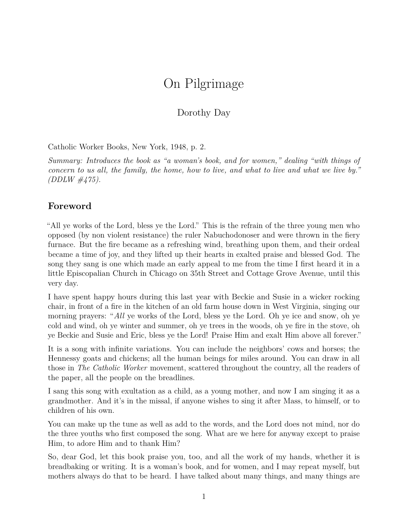## On Pilgrimage

## Dorothy Day

Catholic Worker Books, New York, 1948, p. 2.

*Summary: Introduces the book as "a woman's book, and for women," dealing "with things of concern to us all, the family, the home, how to live, and what to live and what we live by." (DDLW #475).*

## **Foreword**

"All ye works of the Lord, bless ye the Lord." This is the refrain of the three young men who opposed (by non violent resistance) the ruler Nabuchodonoser and were thrown in the fiery furnace. But the fire became as a refreshing wind, breathing upon them, and their ordeal became a time of joy, and they lifted up their hearts in exalted praise and blessed God. The song they sang is one which made an early appeal to me from the time I first heard it in a little Episcopalian Church in Chicago on 35th Street and Cottage Grove Avenue, until this very day.

I have spent happy hours during this last year with Beckie and Susie in a wicker rocking chair, in front of a fire in the kitchen of an old farm house down in West Virginia, singing our morning prayers: "*All* ye works of the Lord, bless ye the Lord. Oh ye ice and snow, oh ye cold and wind, oh ye winter and summer, oh ye trees in the woods, oh ye fire in the stove, oh ye Beckie and Susie and Eric, bless ye the Lord! Praise Him and exalt Him above all forever."

It is a song with infinite variations. You can include the neighbors' cows and horses; the Hennessy goats and chickens; all the human beings for miles around. You can draw in all those in *The Catholic Worker* movement, scattered throughout the country, all the readers of the paper, all the people on the breadlines.

I sang this song with exultation as a child, as a young mother, and now I am singing it as a grandmother. And it's in the missal, if anyone wishes to sing it after Mass, to himself, or to children of his own.

You can make up the tune as well as add to the words, and the Lord does not mind, nor do the three youths who first composed the song. What are we here for anyway except to praise Him, to adore Him and to thank Him?

So, dear God, let this book praise you, too, and all the work of my hands, whether it is breadbaking or writing. It is a woman's book, and for women, and I may repeat myself, but mothers always do that to be heard. I have talked about many things, and many things are